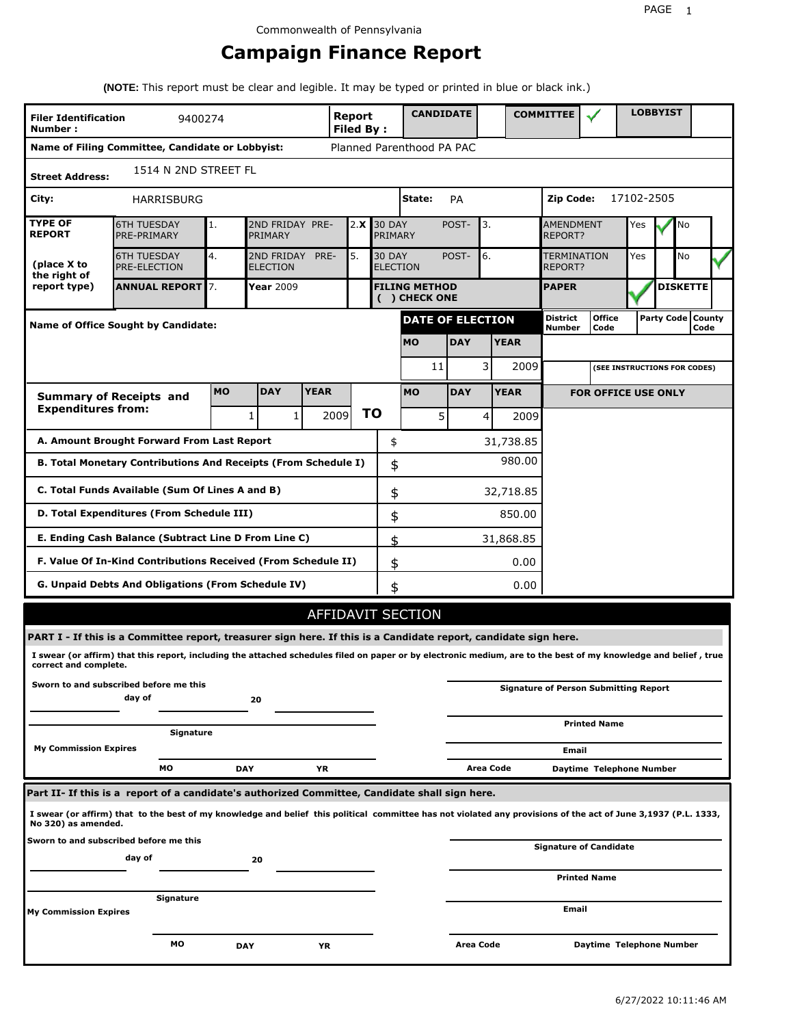# **Campaign Finance Report**

**(NOTE:** This report must be clear and legible. It may be typed or printed in blue or black ink.)

| <b>Filer Identification</b><br>Number:                                            | 9400274                                                                                                                                                         |           |                                                                                 |                                                    | Report<br><b>Filed By:</b> |    |                                       | <b>CANDIDATE</b> |           |             | <b>COMMITTEE</b>        |                                              |  | <b>LOBBYIST</b>     |           |  |
|-----------------------------------------------------------------------------------|-----------------------------------------------------------------------------------------------------------------------------------------------------------------|-----------|---------------------------------------------------------------------------------|----------------------------------------------------|----------------------------|----|---------------------------------------|------------------|-----------|-------------|-------------------------|----------------------------------------------|--|---------------------|-----------|--|
|                                                                                   | Name of Filing Committee, Candidate or Lobbyist:                                                                                                                |           |                                                                                 |                                                    |                            |    | Planned Parenthood PA PAC             |                  |           |             |                         |                                              |  |                     |           |  |
| 1514 N 2ND STREET FL<br><b>Street Address:</b>                                    |                                                                                                                                                                 |           |                                                                                 |                                                    |                            |    |                                       |                  |           |             |                         |                                              |  |                     |           |  |
| City:                                                                             | <b>HARRISBURG</b>                                                                                                                                               |           |                                                                                 |                                                    |                            |    | State:                                | PA               |           |             | 17102-2505<br>Zip Code: |                                              |  |                     |           |  |
| <b>TYPE OF</b><br><b>REPORT</b>                                                   | <b>6TH TUESDAY</b><br>PRE-PRIMARY                                                                                                                               | 1.        | PRIMARY                                                                         | 2ND FRIDAY PRE-<br><b>30 DAY</b><br>2.X<br>PRIMARY |                            |    |                                       | POST-            | 3.        |             |                         | <b>AMENDMENT</b><br><b>REPORT?</b>           |  | No                  |           |  |
| (place X to<br>the right of                                                       | <b>6TH TUESDAY</b><br><b>PRE-ELECTION</b>                                                                                                                       | 4.        | 5.<br><b>30 DAY</b><br>2ND FRIDAY<br>PRE-<br><b>ELECTION</b><br><b>ELECTION</b> |                                                    |                            |    |                                       | POST-            | 6.        |             |                         | TERMINATION<br>REPORT?                       |  |                     | <b>No</b> |  |
| report type)                                                                      | <b>ANNUAL REPORT 7.</b>                                                                                                                                         |           | <b>Year 2009</b>                                                                |                                                    |                            |    | <b>FILING METHOD</b><br>( ) CHECK ONE |                  |           |             | <b>PAPER</b>            |                                              |  | <b>DISKETTE</b>     |           |  |
|                                                                                   | <b>Name of Office Sought by Candidate:</b>                                                                                                                      |           |                                                                                 |                                                    |                            |    | <b>DATE OF ELECTION</b>               |                  |           |             | District<br>Number      | <b>Office</b><br>Code                        |  | Party Code   County | Code      |  |
|                                                                                   |                                                                                                                                                                 |           |                                                                                 |                                                    |                            |    | <b>MO</b>                             | <b>DAY</b>       |           | <b>YEAR</b> |                         |                                              |  |                     |           |  |
|                                                                                   |                                                                                                                                                                 |           |                                                                                 |                                                    |                            |    | 11                                    |                  | 3         | 2009        |                         | (SEE INSTRUCTIONS FOR CODES)                 |  |                     |           |  |
|                                                                                   | <b>Summary of Receipts and</b>                                                                                                                                  | <b>MO</b> | <b>DAY</b>                                                                      | <b>YEAR</b>                                        |                            |    | <b>MO</b>                             | <b>DAY</b>       |           | <b>YEAR</b> |                         | <b>FOR OFFICE USE ONLY</b>                   |  |                     |           |  |
| <b>Expenditures from:</b>                                                         |                                                                                                                                                                 |           | 1<br>1                                                                          |                                                    | 2009                       | ΤO |                                       | 5                | $\vert$   | 2009        |                         |                                              |  |                     |           |  |
|                                                                                   | A. Amount Brought Forward From Last Report                                                                                                                      |           |                                                                                 |                                                    |                            |    | \$                                    |                  |           | 31,738.85   |                         |                                              |  |                     |           |  |
| 980.00<br>B. Total Monetary Contributions And Receipts (From Schedule I)<br>\$    |                                                                                                                                                                 |           |                                                                                 |                                                    |                            |    |                                       |                  |           |             |                         |                                              |  |                     |           |  |
|                                                                                   | C. Total Funds Available (Sum Of Lines A and B)<br>\$<br>32,718.85                                                                                              |           |                                                                                 |                                                    |                            |    |                                       |                  |           |             |                         |                                              |  |                     |           |  |
| D. Total Expenditures (From Schedule III)<br>\$<br>850.00                         |                                                                                                                                                                 |           |                                                                                 |                                                    |                            |    |                                       |                  |           |             |                         |                                              |  |                     |           |  |
|                                                                                   | E. Ending Cash Balance (Subtract Line D From Line C)                                                                                                            |           |                                                                                 |                                                    |                            |    | \$                                    |                  |           | 31,868.85   |                         |                                              |  |                     |           |  |
|                                                                                   | F. Value Of In-Kind Contributions Received (From Schedule II)                                                                                                   |           |                                                                                 |                                                    |                            |    | \$                                    |                  |           | 0.00        |                         |                                              |  |                     |           |  |
|                                                                                   | G. Unpaid Debts And Obligations (From Schedule IV)                                                                                                              |           |                                                                                 |                                                    |                            |    | \$                                    |                  |           | 0.00        |                         |                                              |  |                     |           |  |
|                                                                                   |                                                                                                                                                                 |           |                                                                                 |                                                    |                            |    | AFFIDAVIT SECTION                     |                  |           |             |                         |                                              |  |                     |           |  |
|                                                                                   | PART I - If this is a Committee report, treasurer sign here. If this is a Candidate report, candidate sign here.                                                |           |                                                                                 |                                                    |                            |    |                                       |                  |           |             |                         |                                              |  |                     |           |  |
| correct and complete.                                                             | I swear (or affirm) that this report, including the attached schedules filed on paper or by electronic medium, are to the best of my knowledge and belief, true |           |                                                                                 |                                                    |                            |    |                                       |                  |           |             |                         |                                              |  |                     |           |  |
|                                                                                   | Sworn to and subscribed before me this<br>day of                                                                                                                |           | 20                                                                              |                                                    |                            |    |                                       |                  |           |             |                         | <b>Signature of Person Submitting Report</b> |  |                     |           |  |
|                                                                                   | Signature                                                                                                                                                       |           |                                                                                 |                                                    |                            |    |                                       |                  |           |             |                         | <b>Printed Name</b>                          |  |                     |           |  |
| <b>My Commission Expires</b>                                                      |                                                                                                                                                                 |           |                                                                                 |                                                    |                            |    |                                       |                  |           |             | Email                   |                                              |  |                     |           |  |
|                                                                                   | МO                                                                                                                                                              |           | <b>DAY</b>                                                                      | ΥR                                                 |                            |    |                                       |                  | Area Code |             |                         | Daytime Telephone Number                     |  |                     |           |  |
|                                                                                   | Part II- If this is a report of a candidate's authorized Committee, Candidate shall sign here.                                                                  |           |                                                                                 |                                                    |                            |    |                                       |                  |           |             |                         |                                              |  |                     |           |  |
| No 320) as amended.                                                               | I swear (or affirm) that to the best of my knowledge and belief this political committee has not violated any provisions of the act of June 3,1937 (P.L. 1333,  |           |                                                                                 |                                                    |                            |    |                                       |                  |           |             |                         |                                              |  |                     |           |  |
| Sworn to and subscribed before me this<br><b>Signature of Candidate</b><br>day of |                                                                                                                                                                 |           |                                                                                 |                                                    |                            |    |                                       |                  |           |             |                         |                                              |  |                     |           |  |
| 20<br><b>Printed Name</b>                                                         |                                                                                                                                                                 |           |                                                                                 |                                                    |                            |    |                                       |                  |           |             |                         |                                              |  |                     |           |  |
| <b>My Commission Expires</b>                                                      | Signature                                                                                                                                                       |           |                                                                                 |                                                    |                            |    |                                       |                  |           |             | Email                   |                                              |  |                     |           |  |
|                                                                                   | мо                                                                                                                                                              |           | <b>DAY</b>                                                                      | ΥR                                                 |                            |    |                                       |                  | Area Code |             |                         | Daytime Telephone Number                     |  |                     |           |  |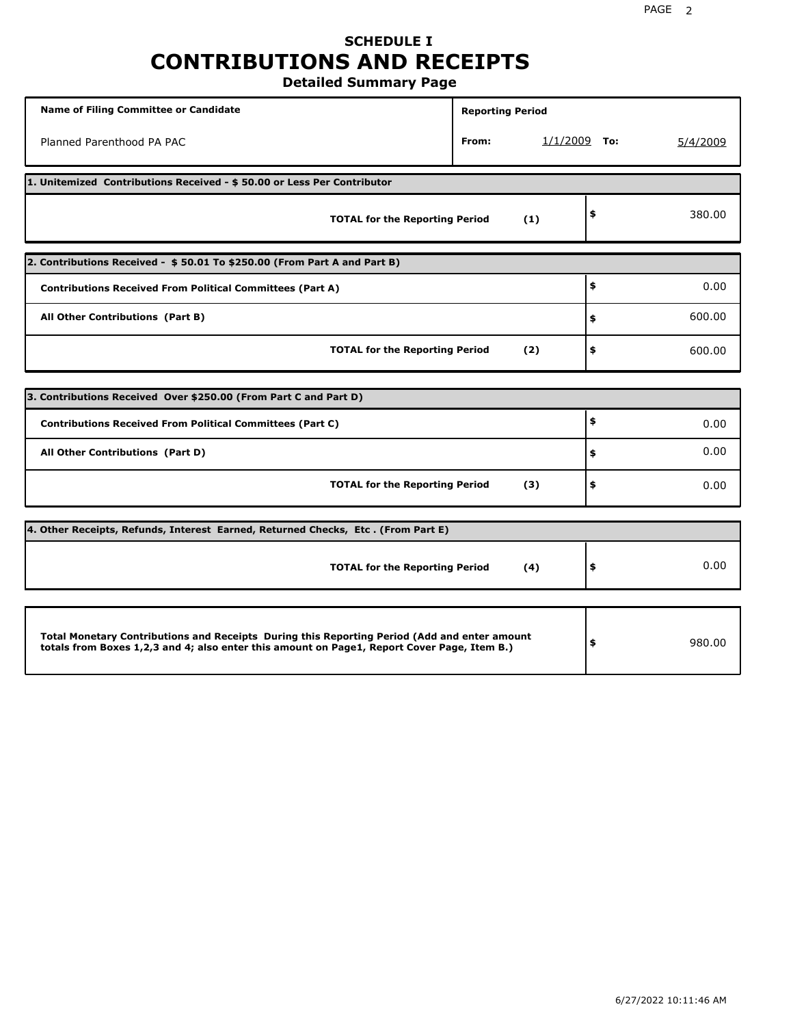# **SCHEDULE I CONTRIBUTIONS AND RECEIPTS**

**Detailed Summary Page**

| <b>Name of Filing Committee or Candidate</b>                                                                                                                                                | <b>Reporting Period</b> |                |    |          |  |  |  |  |  |
|---------------------------------------------------------------------------------------------------------------------------------------------------------------------------------------------|-------------------------|----------------|----|----------|--|--|--|--|--|
| Planned Parenthood PA PAC                                                                                                                                                                   | From:                   | $1/1/2009$ To: |    | 5/4/2009 |  |  |  |  |  |
| 1. Unitemized Contributions Received - \$50.00 or Less Per Contributor                                                                                                                      |                         |                |    |          |  |  |  |  |  |
| <b>TOTAL for the Reporting Period</b>                                                                                                                                                       | (1)                     |                | \$ | 380.00   |  |  |  |  |  |
| 2. Contributions Received - \$50.01 To \$250.00 (From Part A and Part B)                                                                                                                    |                         |                |    |          |  |  |  |  |  |
| <b>Contributions Received From Political Committees (Part A)</b>                                                                                                                            |                         |                | \$ | 0.00     |  |  |  |  |  |
| All Other Contributions (Part B)                                                                                                                                                            | \$                      | 600.00         |    |          |  |  |  |  |  |
| <b>TOTAL for the Reporting Period</b>                                                                                                                                                       | \$                      | 600.00         |    |          |  |  |  |  |  |
|                                                                                                                                                                                             |                         |                |    |          |  |  |  |  |  |
| 3. Contributions Received Over \$250.00 (From Part C and Part D)                                                                                                                            |                         |                |    |          |  |  |  |  |  |
| <b>Contributions Received From Political Committees (Part C)</b>                                                                                                                            |                         |                | \$ | 0.00     |  |  |  |  |  |
| All Other Contributions (Part D)                                                                                                                                                            |                         |                | \$ | 0.00     |  |  |  |  |  |
| <b>TOTAL for the Reporting Period</b>                                                                                                                                                       | (3)                     |                | \$ | 0.00     |  |  |  |  |  |
| 4. Other Receipts, Refunds, Interest Earned, Returned Checks, Etc. (From Part E)                                                                                                            |                         |                |    |          |  |  |  |  |  |
| <b>TOTAL for the Reporting Period</b>                                                                                                                                                       | (4)                     |                | \$ | 0.00     |  |  |  |  |  |
|                                                                                                                                                                                             |                         |                |    |          |  |  |  |  |  |
| Total Monetary Contributions and Receipts During this Reporting Period (Add and enter amount<br>totals from Boxes 1,2,3 and 4; also enter this amount on Page1, Report Cover Page, Item B.) |                         |                | \$ | 980.00   |  |  |  |  |  |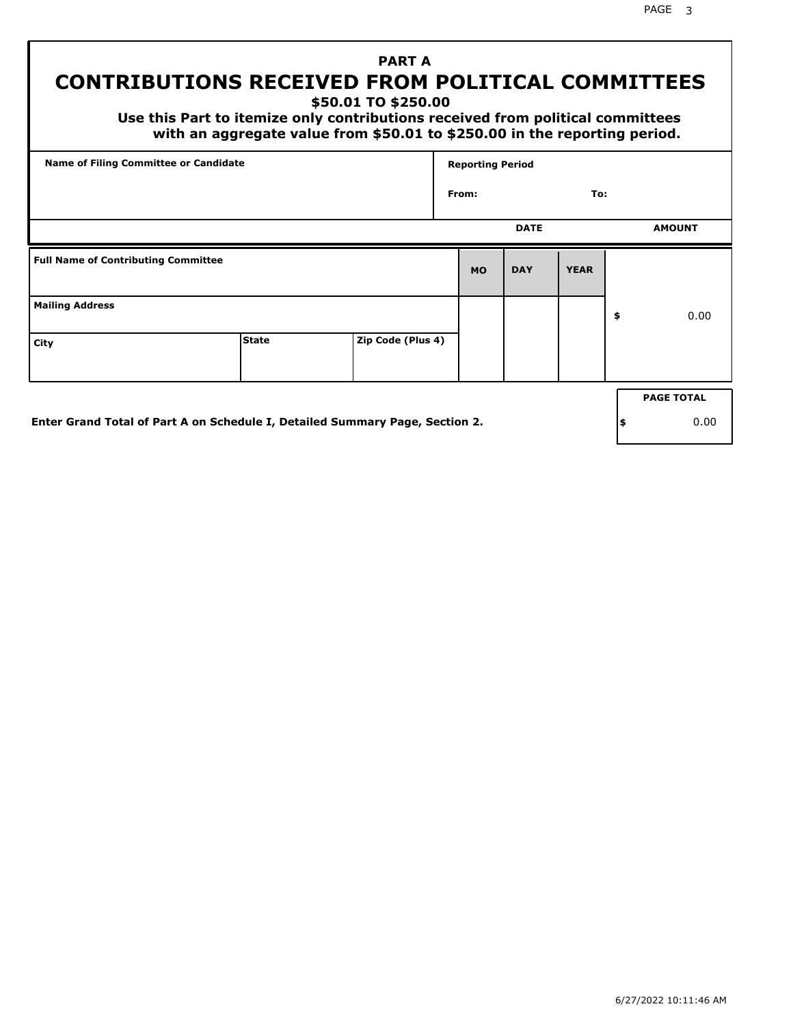PAGE 3

# **PART A CONTRIBUTIONS RECEIVED FROM POLITICAL COMMITTEES**

**\$50.01 TO \$250.00**

 **Use this Part to itemize only contributions received from political committees with an aggregate value from \$50.01 to \$250.00 in the reporting period.**

| Name of Filing Committee or Candidate      |                                                                              |                   |           | <b>Reporting Period</b> |             |     |                   |  |  |
|--------------------------------------------|------------------------------------------------------------------------------|-------------------|-----------|-------------------------|-------------|-----|-------------------|--|--|
|                                            |                                                                              |                   | From:     |                         | To:         |     |                   |  |  |
|                                            |                                                                              |                   |           | <b>DATE</b>             |             |     | <b>AMOUNT</b>     |  |  |
| <b>Full Name of Contributing Committee</b> |                                                                              |                   | <b>MO</b> | <b>DAY</b>              | <b>YEAR</b> |     |                   |  |  |
| <b>Mailing Address</b>                     |                                                                              |                   |           |                         |             | \$  | 0.00              |  |  |
| City                                       | <b>State</b>                                                                 | Zip Code (Plus 4) |           |                         |             |     |                   |  |  |
|                                            |                                                                              |                   |           |                         |             |     | <b>PAGE TOTAL</b> |  |  |
|                                            | Enter Grand Total of Part A on Schedule I, Detailed Summary Page, Section 2. |                   |           |                         |             | ∣\$ | 0.00              |  |  |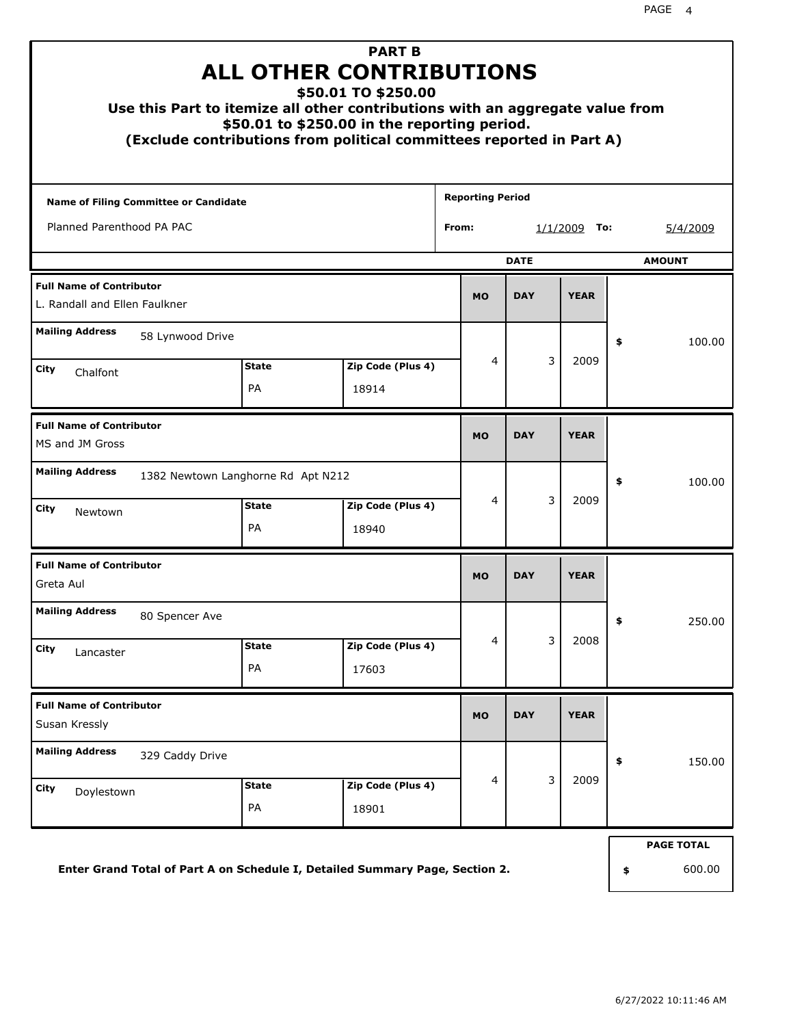|                                                                              |                                                                                        | <b>PART B</b><br><b>ALL OTHER CONTRIBUTIONS</b><br>\$50.01 TO \$250.00<br>Use this Part to itemize all other contributions with an aggregate value from<br>\$50.01 to \$250.00 in the reporting period.<br>(Exclude contributions from political committees reported in Part A) |                         |            |                        |    |                             |  |  |  |
|------------------------------------------------------------------------------|----------------------------------------------------------------------------------------|---------------------------------------------------------------------------------------------------------------------------------------------------------------------------------------------------------------------------------------------------------------------------------|-------------------------|------------|------------------------|----|-----------------------------|--|--|--|
| <b>Name of Filing Committee or Candidate</b>                                 |                                                                                        |                                                                                                                                                                                                                                                                                 | <b>Reporting Period</b> |            |                        |    |                             |  |  |  |
| Planned Parenthood PA PAC                                                    |                                                                                        |                                                                                                                                                                                                                                                                                 | From:                   |            | <u>1/1/2009</u><br>To: |    | 5/4/2009                    |  |  |  |
| <b>DATE</b><br><b>AMOUNT</b>                                                 |                                                                                        |                                                                                                                                                                                                                                                                                 |                         |            |                        |    |                             |  |  |  |
| <b>Full Name of Contributor</b><br>L. Randall and Ellen Faulkner             |                                                                                        |                                                                                                                                                                                                                                                                                 | <b>MO</b>               | <b>DAY</b> | <b>YEAR</b>            |    |                             |  |  |  |
| <b>Mailing Address</b><br>City<br>Chalfont                                   | 58 Lynwood Drive<br>3<br>4<br>2009<br><b>State</b><br>Zip Code (Plus 4)<br>PA<br>18914 |                                                                                                                                                                                                                                                                                 |                         |            |                        |    | 100.00                      |  |  |  |
| <b>Full Name of Contributor</b><br>MS and JM Gross                           |                                                                                        |                                                                                                                                                                                                                                                                                 | <b>MO</b>               | <b>DAY</b> | <b>YEAR</b>            |    |                             |  |  |  |
| <b>Mailing Address</b><br>City<br>Newtown                                    | 1382 Newtown Langhorne Rd Apt N212<br><b>State</b><br>PA                               | Zip Code (Plus 4)<br>18940                                                                                                                                                                                                                                                      | 4                       | 3          | 2009                   | \$ | 100.00                      |  |  |  |
| <b>Full Name of Contributor</b><br>Greta Aul                                 |                                                                                        |                                                                                                                                                                                                                                                                                 | <b>MO</b>               | <b>DAY</b> | <b>YEAR</b>            |    |                             |  |  |  |
| <b>Mailing Address</b><br>80 Spencer Ave<br>City<br>Lancaster                | <b>State</b><br>PA                                                                     | Zip Code (Plus 4)<br>17603                                                                                                                                                                                                                                                      | 4                       | 3          | 2008                   | Ş  | 250.00                      |  |  |  |
| <b>Full Name of Contributor</b><br>Susan Kressly                             |                                                                                        |                                                                                                                                                                                                                                                                                 | <b>MO</b>               | <b>DAY</b> | <b>YEAR</b>            |    |                             |  |  |  |
| <b>Mailing Address</b><br>329 Caddy Drive<br>City<br>Doylestown              | <b>State</b><br>PA                                                                     | Zip Code (Plus 4)<br>18901                                                                                                                                                                                                                                                      | $\overline{4}$          | 3          | 2009                   | \$ | 150.00                      |  |  |  |
| Enter Grand Total of Part A on Schedule I, Detailed Summary Page, Section 2. |                                                                                        |                                                                                                                                                                                                                                                                                 |                         |            |                        | \$ | <b>PAGE TOTAL</b><br>600.00 |  |  |  |

**Enter Grand Total of Part A on Schedule I, Detailed Summary Page, Section 2.**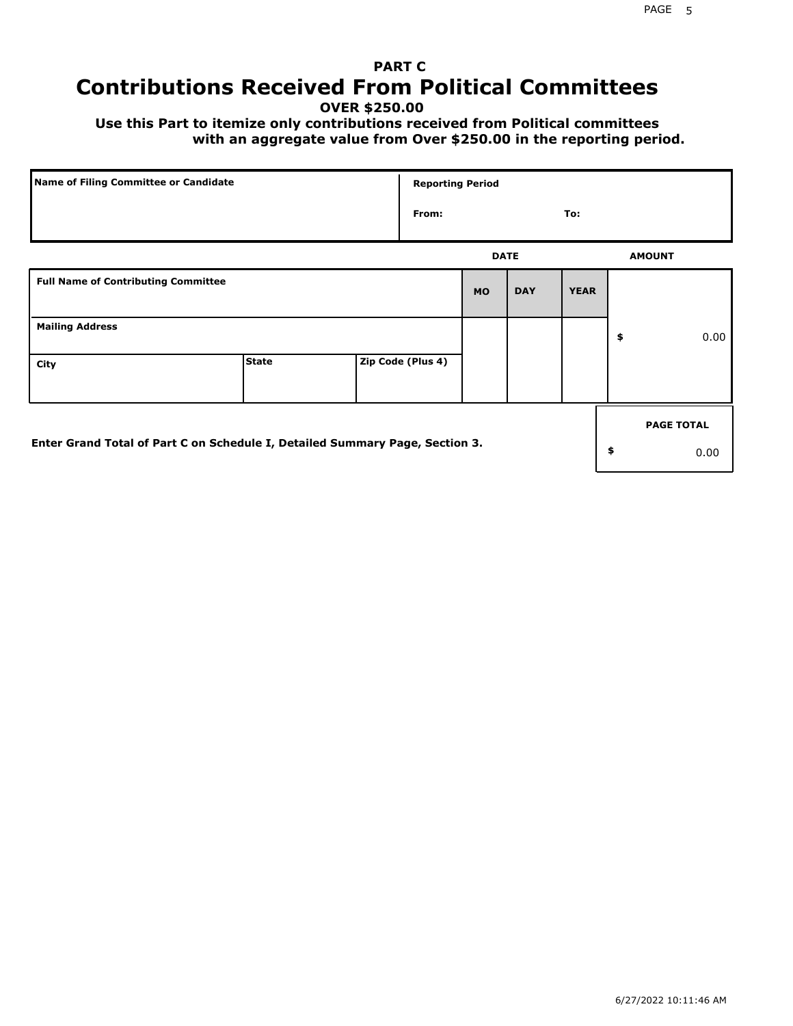# **PART C Contributions Received From Political Committees**

**OVER \$250.00**

 **Use this Part to itemize only contributions received from Political committees with an aggregate value from Over \$250.00 in the reporting period.**

| Name of Filing Committee or Candidate                                        |              |  | <b>Reporting Period</b> |             |            |             |    |                   |  |
|------------------------------------------------------------------------------|--------------|--|-------------------------|-------------|------------|-------------|----|-------------------|--|
|                                                                              |              |  | From:                   |             |            | To:         |    |                   |  |
|                                                                              |              |  |                         | <b>DATE</b> |            |             |    | <b>AMOUNT</b>     |  |
| <b>Full Name of Contributing Committee</b>                                   |              |  |                         | <b>MO</b>   | <b>DAY</b> | <b>YEAR</b> |    |                   |  |
| <b>Mailing Address</b>                                                       |              |  |                         |             |            |             | \$ | 0.00              |  |
| City                                                                         | <b>State</b> |  | Zip Code (Plus 4)       |             |            |             |    |                   |  |
|                                                                              |              |  |                         |             |            |             |    | <b>PAGE TOTAL</b> |  |
| Enter Grand Total of Part C on Schedule I, Detailed Summary Page, Section 3. |              |  |                         |             |            |             | \$ | 0.00              |  |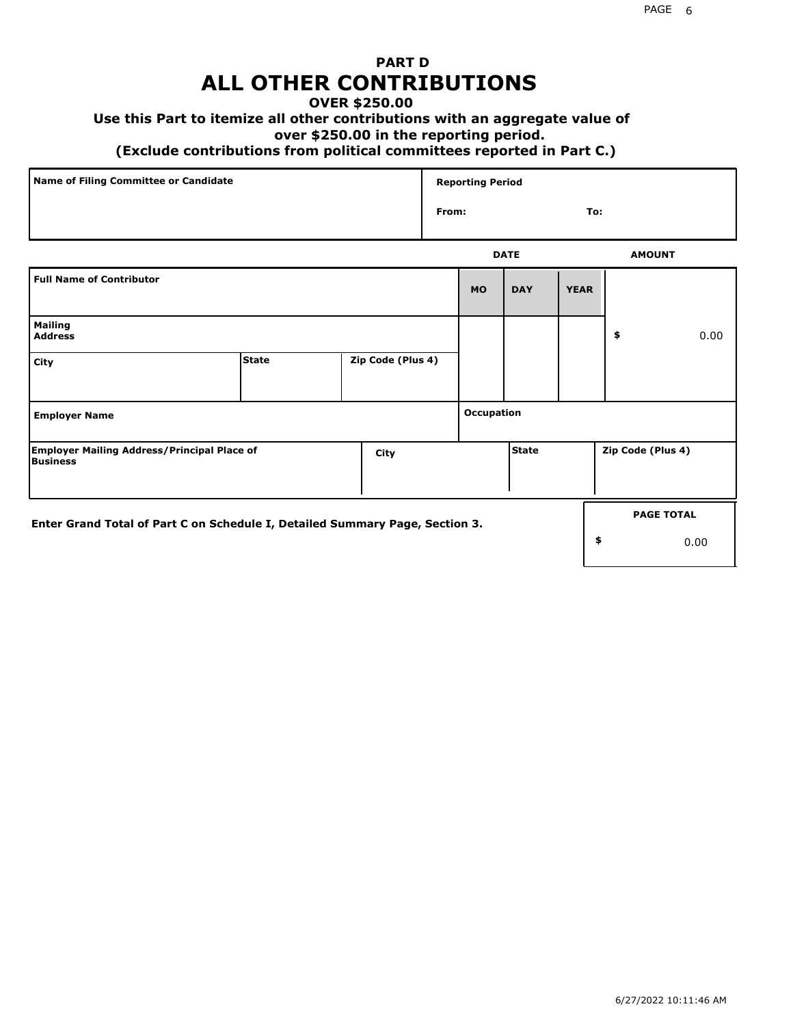## **PART D ALL OTHER CONTRIBUTIONS**

#### **OVER \$250.00**

### **Use this Part to itemize all other contributions with an aggregate value of**

#### **over \$250.00 in the reporting period.**

#### **(Exclude contributions from political committees reported in Part C.)**

| Name of Filing Committee or Candidate | <b>Reporting Period</b> |     |
|---------------------------------------|-------------------------|-----|
|                                       | From:                   | To: |
|                                       |                         |     |

|                                                                              |              |                   |                   | <b>DATE</b>  |             | <b>AMOUNT</b>     |
|------------------------------------------------------------------------------|--------------|-------------------|-------------------|--------------|-------------|-------------------|
| <b>Full Name of Contributor</b>                                              |              |                   | <b>MO</b>         | <b>DAY</b>   | <b>YEAR</b> |                   |
| <b>Mailing</b><br><b>Address</b>                                             |              |                   |                   |              |             | \$<br>0.00        |
| City                                                                         | <b>State</b> | Zip Code (Plus 4) |                   |              |             |                   |
| <b>Employer Name</b>                                                         |              |                   | <b>Occupation</b> |              |             |                   |
| <b>Employer Mailing Address/Principal Place of</b><br>Business               |              | City              |                   | <b>State</b> |             | Zip Code (Plus 4) |
| Enter Grand Total of Part C on Schedule I, Detailed Summary Page, Section 3. |              |                   |                   |              |             | <b>PAGE TOTAL</b> |
|                                                                              |              |                   |                   |              |             | \$<br>0.00        |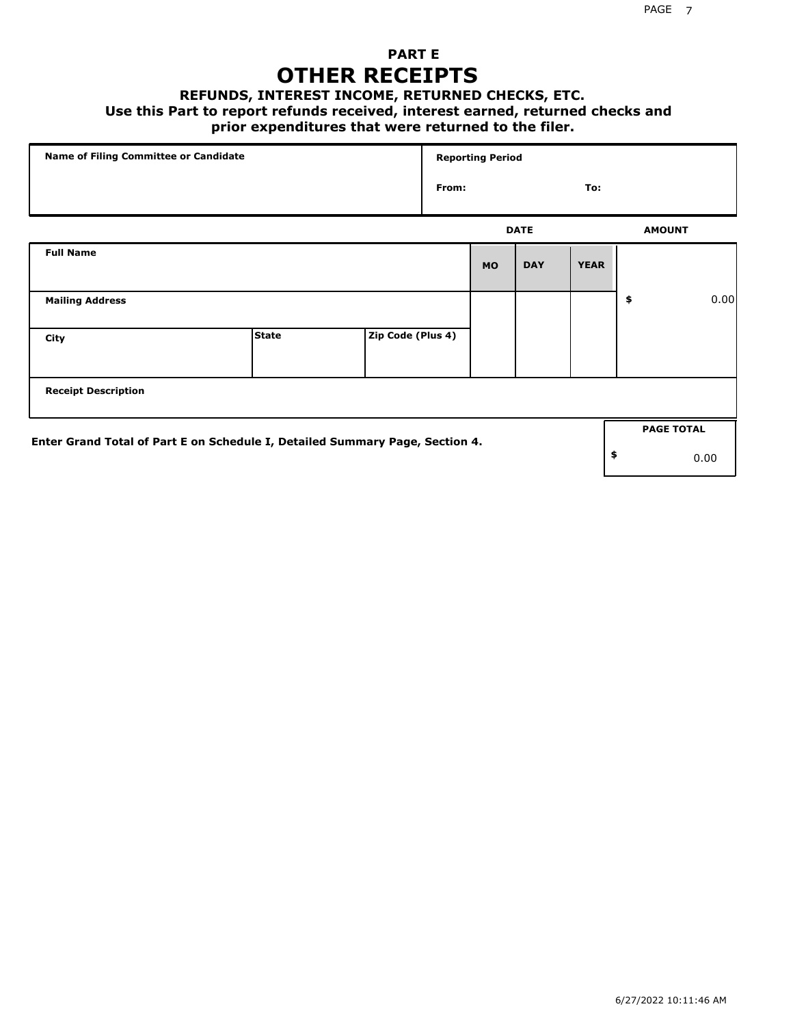### **PART E OTHER RECEIPTS**

#### **REFUNDS, INTEREST INCOME, RETURNED CHECKS, ETC.**

 **Use this Part to report refunds received, interest earned, returned checks and**

### **prior expenditures that were returned to the filer.**

| Name of Filing Committee or Candidate                                        |              |                   | <b>Reporting Period</b> |           |             |             |    |                   |      |
|------------------------------------------------------------------------------|--------------|-------------------|-------------------------|-----------|-------------|-------------|----|-------------------|------|
|                                                                              |              |                   | From:                   |           |             | To:         |    |                   |      |
|                                                                              |              |                   |                         |           | <b>DATE</b> |             |    | <b>AMOUNT</b>     |      |
| <b>Full Name</b>                                                             |              |                   |                         | <b>MO</b> | <b>DAY</b>  | <b>YEAR</b> |    |                   |      |
| <b>Mailing Address</b>                                                       |              |                   |                         |           |             |             | \$ |                   | 0.00 |
| City                                                                         | <b>State</b> | Zip Code (Plus 4) |                         |           |             |             |    |                   |      |
| <b>Receipt Description</b>                                                   |              |                   |                         |           |             |             |    |                   |      |
|                                                                              |              |                   |                         |           |             |             |    | <b>PAGE TOTAL</b> |      |
| Enter Grand Total of Part E on Schedule I, Detailed Summary Page, Section 4. |              |                   |                         |           |             |             | \$ |                   | 0.00 |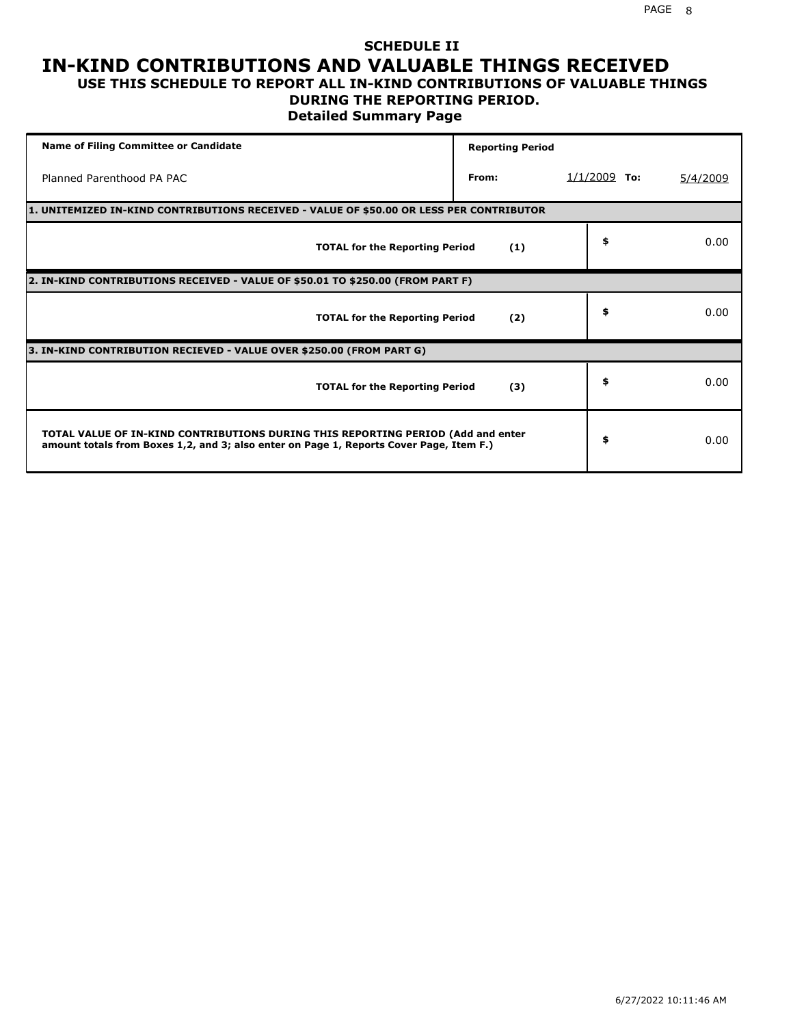#### **SCHEDULE II IN-KIND CONTRIBUTIONS AND VALUABLE THINGS RECEIVED USE THIS SCHEDULE TO REPORT ALL IN-KIND CONTRIBUTIONS OF VALUABLE THINGS**

## **DURING THE REPORTING PERIOD.**

**Detailed Summary Page**

| <b>Name of Filing Committee or Candidate</b>                                                                                                                                | <b>Reporting Period</b> |                |          |  |  |  |  |  |  |
|-----------------------------------------------------------------------------------------------------------------------------------------------------------------------------|-------------------------|----------------|----------|--|--|--|--|--|--|
| Planned Parenthood PA PAC                                                                                                                                                   | From:                   | $1/1/2009$ To: | 5/4/2009 |  |  |  |  |  |  |
| 1. UNITEMIZED IN-KIND CONTRIBUTIONS RECEIVED - VALUE OF \$50.00 OR LESS PER CONTRIBUTOR                                                                                     |                         |                |          |  |  |  |  |  |  |
| <b>TOTAL for the Reporting Period</b>                                                                                                                                       | (1)                     | \$             | 0.00     |  |  |  |  |  |  |
| 2. IN-KIND CONTRIBUTIONS RECEIVED - VALUE OF \$50.01 TO \$250.00 (FROM PART F)                                                                                              |                         |                |          |  |  |  |  |  |  |
| <b>TOTAL for the Reporting Period</b>                                                                                                                                       | (2)                     | \$             | 0.00     |  |  |  |  |  |  |
| 3. IN-KIND CONTRIBUTION RECIEVED - VALUE OVER \$250.00 (FROM PART G)                                                                                                        |                         |                |          |  |  |  |  |  |  |
| <b>TOTAL for the Reporting Period</b>                                                                                                                                       | (3)                     | \$             | 0.00     |  |  |  |  |  |  |
| TOTAL VALUE OF IN-KIND CONTRIBUTIONS DURING THIS REPORTING PERIOD (Add and enter<br>amount totals from Boxes 1,2, and 3; also enter on Page 1, Reports Cover Page, Item F.) |                         | \$             | 0.00     |  |  |  |  |  |  |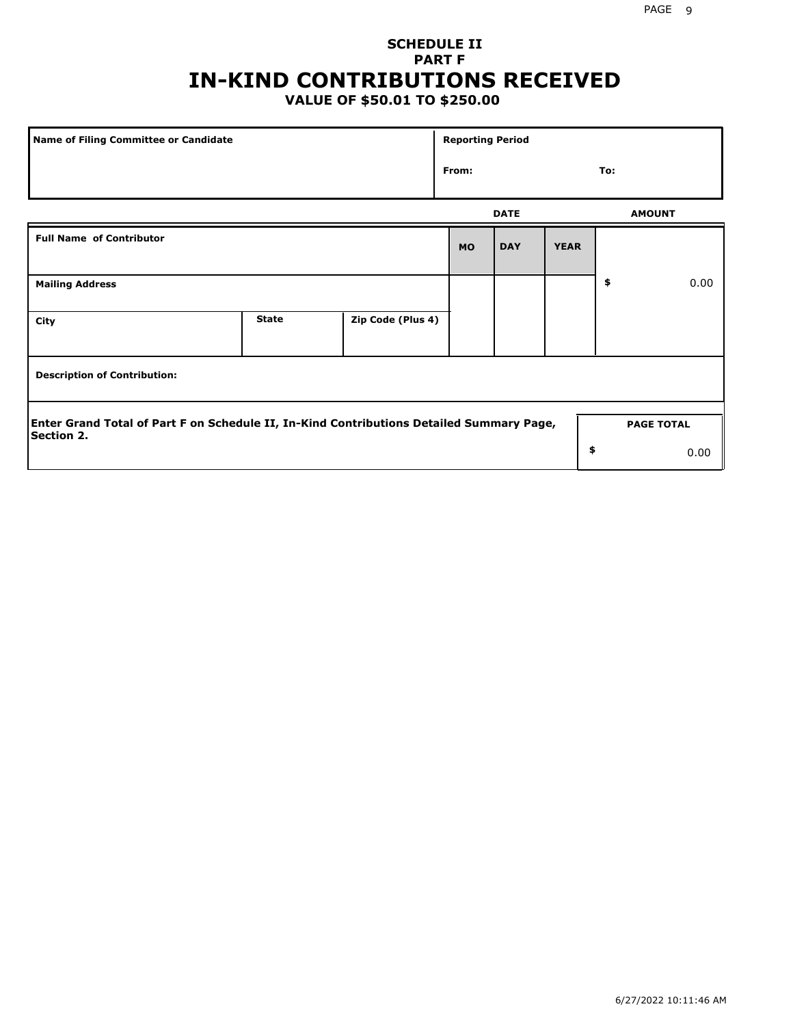## **SCHEDULE II PART F IN-KIND CONTRIBUTIONS RECEIVED**

## **VALUE OF \$50.01 TO \$250.00**

| Name of Filing Committee or Candidate                                                                         |              |                   |           | <b>Reporting Period</b> |             |                   |      |  |  |
|---------------------------------------------------------------------------------------------------------------|--------------|-------------------|-----------|-------------------------|-------------|-------------------|------|--|--|
|                                                                                                               | From:        |                   |           | To:                     |             |                   |      |  |  |
|                                                                                                               |              |                   |           | <b>DATE</b>             |             | <b>AMOUNT</b>     |      |  |  |
| <b>Full Name of Contributor</b>                                                                               |              |                   | <b>MO</b> | <b>DAY</b>              | <b>YEAR</b> |                   |      |  |  |
| <b>Mailing Address</b>                                                                                        |              |                   |           |                         |             | \$                | 0.00 |  |  |
| City                                                                                                          | <b>State</b> | Zip Code (Plus 4) |           |                         |             |                   |      |  |  |
| <b>Description of Contribution:</b>                                                                           |              |                   |           |                         |             |                   |      |  |  |
| Enter Grand Total of Part F on Schedule II, In-Kind Contributions Detailed Summary Page,<br><b>Section 2.</b> |              |                   |           |                         |             | <b>PAGE TOTAL</b> |      |  |  |
|                                                                                                               |              |                   |           |                         | \$          |                   | 0.00 |  |  |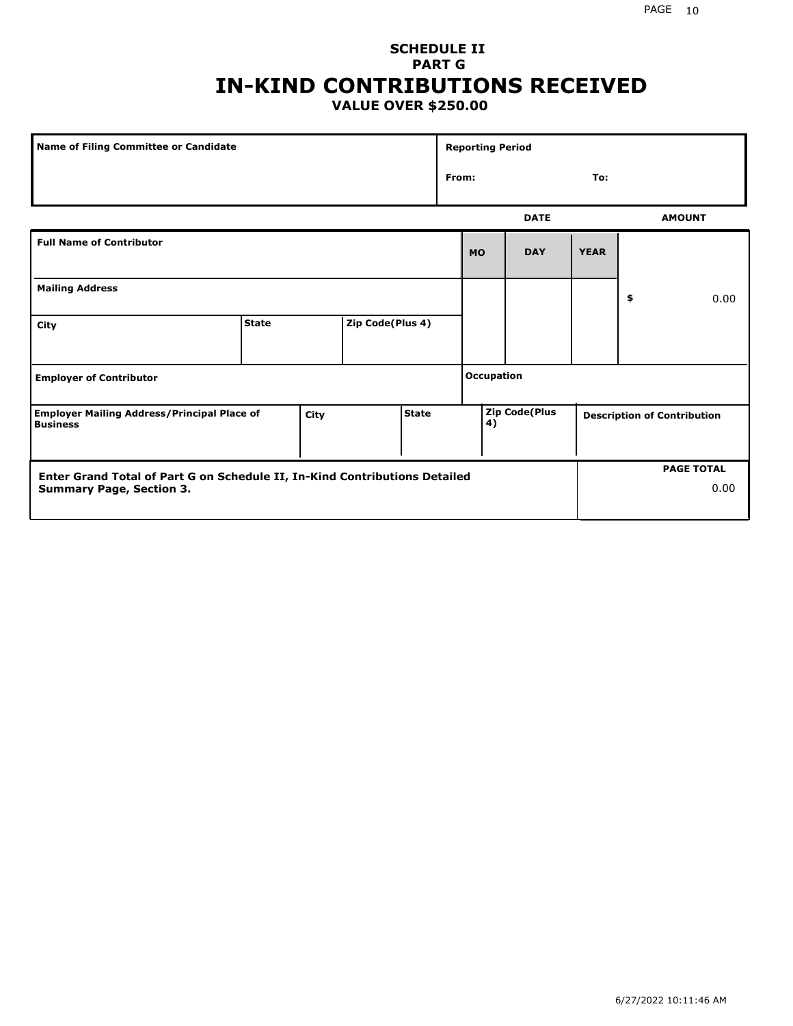#### **SCHEDULE II PART G IN-KIND CONTRIBUTIONS RECEIVED VALUE OVER \$250.00**

| Name of Filing Committee or Candidate                                                  |              |  |                  |  | <b>Reporting Period</b> |                                                                  |             |             |    |               |
|----------------------------------------------------------------------------------------|--------------|--|------------------|--|-------------------------|------------------------------------------------------------------|-------------|-------------|----|---------------|
|                                                                                        |              |  |                  |  |                         | From:<br>To:                                                     |             |             |    |               |
|                                                                                        |              |  |                  |  |                         |                                                                  | <b>DATE</b> |             |    | <b>AMOUNT</b> |
| <b>Full Name of Contributor</b>                                                        |              |  |                  |  |                         | <b>MO</b>                                                        | <b>DAY</b>  | <b>YEAR</b> |    |               |
| <b>Mailing Address</b>                                                                 |              |  |                  |  |                         |                                                                  |             |             | \$ | 0.00          |
| City                                                                                   | <b>State</b> |  | Zip Code(Plus 4) |  |                         |                                                                  |             |             |    |               |
| <b>Employer of Contributor</b>                                                         |              |  |                  |  |                         | <b>Occupation</b>                                                |             |             |    |               |
| State<br><b>Employer Mailing Address/Principal Place of</b><br>City<br><b>Business</b> |              |  |                  |  |                         | <b>Zip Code(Plus</b><br><b>Description of Contribution</b><br>4) |             |             |    |               |

| <b>Enter Grand Total of Part G on Schedule II, In-Kind Contributions Detailed</b> |  | <b>PAGE TOTAL</b> |
|-----------------------------------------------------------------------------------|--|-------------------|
| <b>Summary Page, Section 3.</b>                                                   |  | 0.00              |
|                                                                                   |  |                   |